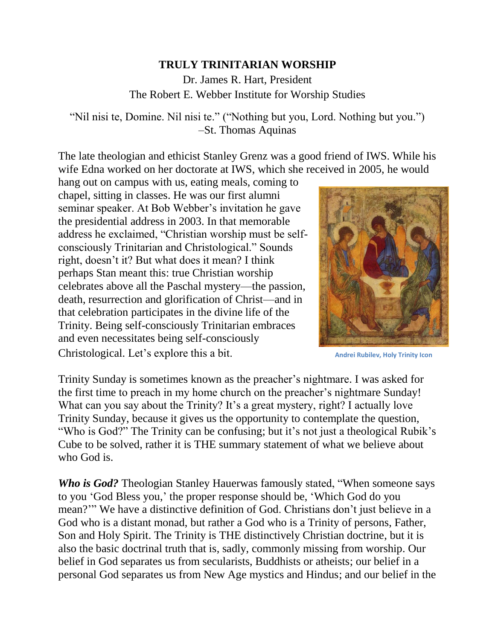## **TRULY TRINITARIAN WORSHIP**

Dr. James R. Hart, President The Robert E. Webber Institute for Worship Studies

"Nil nisi te, Domine. Nil nisi te." ("Nothing but you, Lord. Nothing but you.") –St. Thomas Aquinas

The late theologian and ethicist Stanley Grenz was a good friend of IWS. While his wife Edna worked on her doctorate at IWS, which she received in 2005, he would

hang out on campus with us, eating meals, coming to chapel, sitting in classes. He was our first alumni seminar speaker. At Bob Webber's invitation he gave the presidential address in 2003. In that memorable address he exclaimed, "Christian worship must be selfconsciously Trinitarian and Christological." Sounds right, doesn't it? But what does it mean? I think perhaps Stan meant this: true Christian worship celebrates above all the Paschal mystery—the passion, death, resurrection and glorification of Christ—and in that celebration participates in the divine life of the Trinity. Being self-consciously Trinitarian embraces and even necessitates being self-consciously Christological. Let's explore this a bit.



**Andrei Rubilev, Holy Trinity Icon**

Trinity Sunday is sometimes known as the preacher's nightmare. I was asked for the first time to preach in my home church on the preacher's nightmare Sunday! What can you say about the Trinity? It's a great mystery, right? I actually love Trinity Sunday, because it gives us the opportunity to contemplate the question, "Who is God?" The Trinity can be confusing; but it's not just a theological Rubik's Cube to be solved, rather it is THE summary statement of what we believe about who God is.

*Who is God?* Theologian Stanley Hauerwas famously stated, "When someone says to you 'God Bless you,' the proper response should be, 'Which God do you mean?'" We have a distinctive definition of God. Christians don't just believe in a God who is a distant monad, but rather a God who is a Trinity of persons, Father, Son and Holy Spirit. The Trinity is THE distinctively Christian doctrine, but it is also the basic doctrinal truth that is, sadly, commonly missing from worship. Our belief in God separates us from secularists, Buddhists or atheists; our belief in a personal God separates us from New Age mystics and Hindus; and our belief in the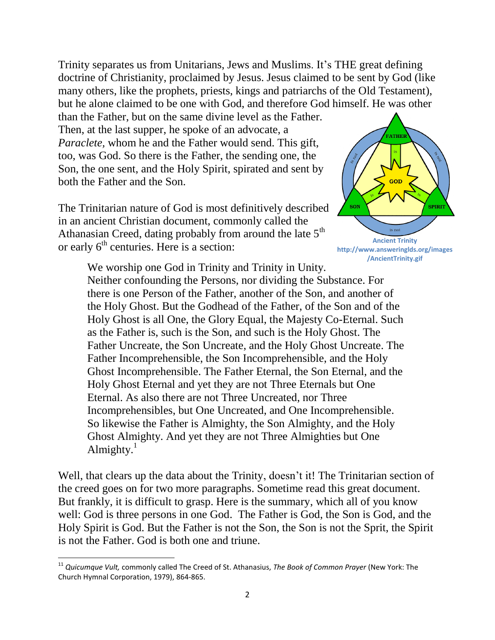Trinity separates us from Unitarians, Jews and Muslims. It's THE great defining doctrine of Christianity, proclaimed by Jesus. Jesus claimed to be sent by God (like many others, like the prophets, priests, kings and patriarchs of the Old Testament), but he alone claimed to be one with God, and therefore God himself. He was other

than the Father, but on the same divine level as the Father. Then, at the last supper, he spoke of an advocate, a *Paraclete,* whom he and the Father would send. This gift, too, was God. So there is the Father, the sending one, the Son, the one sent, and the Holy Spirit, spirated and sent by both the Father and the Son.

The Trinitarian nature of God is most definitively described in an ancient Christian document, commonly called the Athanasian Creed, dating probably from around the late  $5<sup>th</sup>$ or early  $6<sup>th</sup>$  centuries. Here is a section:



We worship one God in Trinity and Trinity in Unity. Neither confounding the Persons, nor dividing the Substance. For there is one Person of the Father, another of the Son, and another of the Holy Ghost. But the Godhead of the Father, of the Son and of the Holy Ghost is all One, the Glory Equal, the Majesty Co-Eternal. Such as the Father is, such is the Son, and such is the Holy Ghost. The Father Uncreate, the Son Uncreate, and the Holy Ghost Uncreate. The Father Incomprehensible, the Son Incomprehensible, and the Holy Ghost Incomprehensible. The Father Eternal, the Son Eternal, and the Holy Ghost Eternal and yet they are not Three Eternals but One Eternal. As also there are not Three Uncreated, nor Three Incomprehensibles, but One Uncreated, and One Incomprehensible. So likewise the Father is Almighty, the Son Almighty, and the Holy Ghost Almighty. And yet they are not Three Almighties but One Almighty. $<sup>1</sup>$ </sup>

Well, that clears up the data about the Trinity, doesn't it! The Trinitarian section of the creed goes on for two more paragraphs. Sometime read this great document. But frankly, it is difficult to grasp. Here is the summary, which all of you know well: God is three persons in one God. The Father is God, the Son is God, and the Holy Spirit is God. But the Father is not the Son, the Son is not the Sprit, the Spirit is not the Father. God is both one and triune.

l

<sup>&</sup>lt;sup>11</sup> Quicumque Vult, commonly called The Creed of St. Athanasius, *The Book of Common Prayer* (New York: The Church Hymnal Corporation, 1979), 864-865.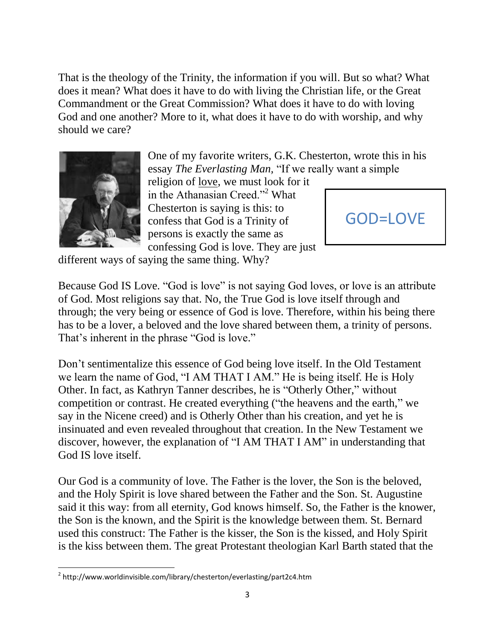That is the theology of the Trinity, the information if you will. But so what? What does it mean? What does it have to do with living the Christian life, or the Great Commandment or the Great Commission? What does it have to do with loving God and one another? More to it, what does it have to do with worship, and why should we care?



One of my favorite writers, G.K. Chesterton, wrote this in his essay *The Everlasting Man,* "If we really want a simple

religion of love, we must look for it in the Athanasian Creed."<sup>2</sup> What Chesterton is saying is this: to confess that God is a Trinity of persons is exactly the same as confessing God is love. They are just



different ways of saying the same thing. Why?

Because God IS Love. "God is love" is not saying God loves, or love is an attribute of God. Most religions say that. No, the True God is love itself through and through; the very being or essence of God is love. Therefore, within his being there has to be a lover, a beloved and the love shared between them, a trinity of persons. That's inherent in the phrase "God is love."

Don't sentimentalize this essence of God being love itself. In the Old Testament we learn the name of God, "I AM THAT I AM." He is being itself. He is Holy Other. In fact, as Kathryn Tanner describes, he is "Otherly Other," without competition or contrast. He created everything ("the heavens and the earth," we say in the Nicene creed) and is Otherly Other than his creation, and yet he is insinuated and even revealed throughout that creation. In the New Testament we discover, however, the explanation of "I AM THAT I AM" in understanding that God IS love itself.

Our God is a community of love. The Father is the lover, the Son is the beloved, and the Holy Spirit is love shared between the Father and the Son. St. Augustine said it this way: from all eternity, God knows himself. So, the Father is the knower, the Son is the known, and the Spirit is the knowledge between them. St. Bernard used this construct: The Father is the kisser, the Son is the kissed, and Holy Spirit is the kiss between them. The great Protestant theologian Karl Barth stated that the

 $\overline{\phantom{a}}$ <sup>2</sup> http://www.worldinvisible.com/library/chesterton/everlasting/part2c4.htm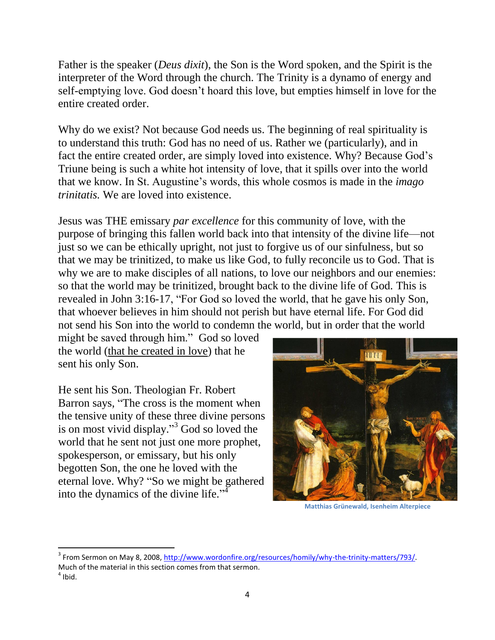Father is the speaker (*Deus dixit*), the Son is the Word spoken, and the Spirit is the interpreter of the Word through the church. The Trinity is a dynamo of energy and self-emptying love. God doesn't hoard this love, but empties himself in love for the entire created order.

Why do we exist? Not because God needs us. The beginning of real spirituality is to understand this truth: God has no need of us. Rather we (particularly), and in fact the entire created order, are simply loved into existence. Why? Because God's Triune being is such a white hot intensity of love, that it spills over into the world that we know. In St. Augustine's words, this whole cosmos is made in the *imago trinitatis.* We are loved into existence.

Jesus was THE emissary *par excellence* for this community of love, with the purpose of bringing this fallen world back into that intensity of the divine life—not just so we can be ethically upright, not just to forgive us of our sinfulness, but so that we may be trinitized, to make us like God, to fully reconcile us to God. That is why we are to make disciples of all nations, to love our neighbors and our enemies: so that the world may be trinitized, brought back to the divine life of God. This is revealed in John 3:16-17, "For God so loved the world, that he gave his only Son, that whoever believes in him should not perish but have eternal life. For God did not send his Son into the world to condemn the world, but in order that the world

might be saved through him." God so loved the world (that he created in love) that he sent his only Son.

He sent his Son. Theologian Fr. Robert Barron says, "The cross is the moment when the tensive unity of these three divine persons is on most vivid display." <sup>3</sup> God so loved the world that he sent not just one more prophet, spokesperson, or emissary, but his only begotten Son, the one he loved with the eternal love. Why? "So we might be gathered into the dynamics of the divine life."<sup>4</sup>

 $\overline{\phantom{a}}$ 



**Matthias Grünewald, Isenheim Alterpiece**

<sup>&</sup>lt;sup>3</sup> From Sermon on May 8, 2008, [http://www.wordonfire.org/resources/homily/why-the-trinity-matters/793/.](http://www.wordonfire.org/resources/homily/why-the-trinity-matters/793/) Much of the material in this section comes from that sermon.  $<sup>4</sup>$  Ibid.</sup>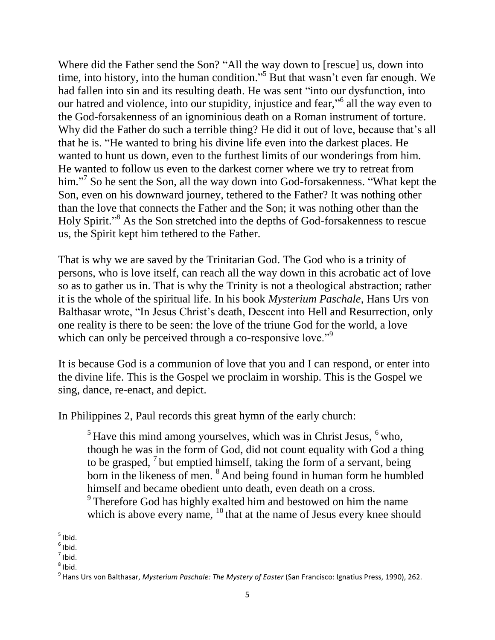Where did the Father send the Son? "All the way down to [rescue] us, down into time, into history, into the human condition." <sup>5</sup> But that wasn't even far enough. We had fallen into sin and its resulting death. He was sent "into our dysfunction, into our hatred and violence, into our stupidity, injustice and fear,"<sup>6</sup> all the way even to the God-forsakenness of an ignominious death on a Roman instrument of torture. Why did the Father do such a terrible thing? He did it out of love, because that's all that he is. "He wanted to bring his divine life even into the darkest places. He wanted to hunt us down, even to the furthest limits of our wonderings from him. He wanted to follow us even to the darkest corner where we try to retreat from him."<sup>7</sup> So he sent the Son, all the way down into God-forsakenness. "What kept the Son, even on his downward journey, tethered to the Father? It was nothing other than the love that connects the Father and the Son; it was nothing other than the Holy Spirit." <sup>8</sup> As the Son stretched into the depths of God-forsakenness to rescue us, the Spirit kept him tethered to the Father.

That is why we are saved by the Trinitarian God. The God who is a trinity of persons, who is love itself, can reach all the way down in this acrobatic act of love so as to gather us in. That is why the Trinity is not a theological abstraction; rather it is the whole of the spiritual life. In his book *Mysterium Paschale*, Hans Urs von Balthasar wrote, "In Jesus Christ's death, Descent into Hell and Resurrection, only one reality is there to be seen: the love of the triune God for the world, a love which can only be perceived through a co-responsive love.<sup>"9</sup>

It is because God is a communion of love that you and I can respond, or enter into the divine life. This is the Gospel we proclaim in worship. This is the Gospel we sing, dance, re-enact, and depict.

In Philippines 2, Paul records this great hymn of the early church:

 $<sup>5</sup>$  Have this mind among yourselves, which was in Christ Jesus,  $<sup>6</sup>$  who,</sup></sup> though he was in the form of God, did not count equality with God a thing to be grasped,  $\frac{7}{1}$  but emptied himself, taking the form of a servant, being born in the likeness of men. <sup>8</sup> And being found in human form he humbled himself and became obedient unto death, even death on a cross.

 $9^9$  Therefore God has highly exalted him and bestowed on him the name which is above every name, <sup>10</sup> that at the name of Jesus every knee should

<sup>&</sup>lt;sub>5</sub><br>bid.

 $<sup>6</sup>$  Ibid.</sup>

 $<sup>7</sup>$  Ibid.</sup>

 $^8$  Ibid.

<sup>9</sup> Hans Urs von Balthasar, *Mysterium Paschale: The Mystery of Easter* (San Francisco: Ignatius Press, 1990), 262.